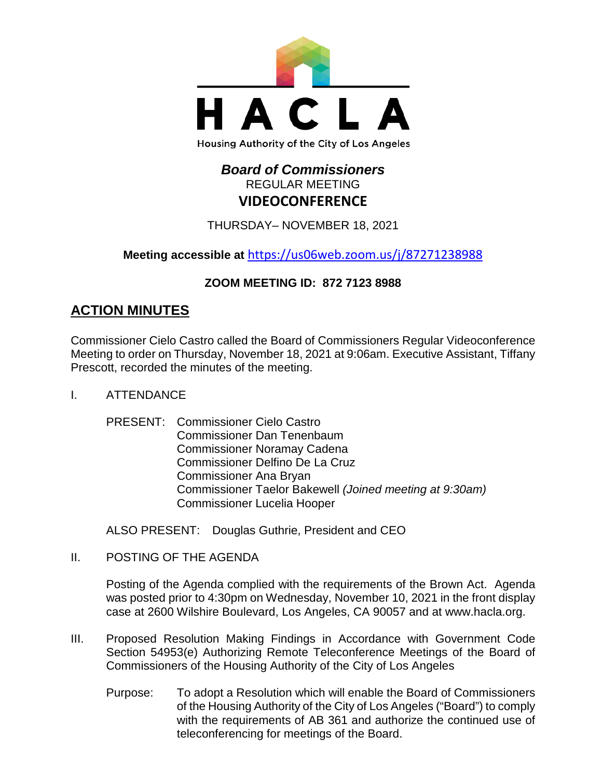

# *Board of Commissioners* REGULAR MEETING **VIDEOCONFERENCE**

THURSDAY– NOVEMBER 18, 2021

**Meeting accessible at** <https://us06web.zoom.us/j/87271238988>

# **ZOOM MEETING ID: 872 7123 8988**

# **ACTION MINUTES**

Commissioner Cielo Castro called the Board of Commissioners Regular Videoconference Meeting to order on Thursday, November 18, 2021 at 9:06am. Executive Assistant, Tiffany Prescott, recorded the minutes of the meeting.

- I. ATTENDANCE
	- PRESENT: Commissioner Cielo Castro Commissioner Dan Tenenbaum Commissioner Noramay Cadena Commissioner Delfino De La Cruz Commissioner Ana Bryan Commissioner Taelor Bakewell *(Joined meeting at 9:30am)* Commissioner Lucelia Hooper

ALSO PRESENT: Douglas Guthrie, President and CEO

II. POSTING OF THE AGENDA

Posting of the Agenda complied with the requirements of the Brown Act. Agenda was posted prior to 4:30pm on Wednesday, November 10, 2021 in the front display case at 2600 Wilshire Boulevard, Los Angeles, CA 90057 and at [www.hacla.org.](http://www.hacla.org/)

- III. Proposed Resolution Making Findings in Accordance with Government Code Section 54953(e) Authorizing Remote Teleconference Meetings of the Board of Commissioners of the Housing Authority of the City of Los Angeles
	- Purpose: To adopt a Resolution which will enable the Board of Commissioners of the Housing Authority of the City of Los Angeles ("Board") to comply with the requirements of AB 361 and authorize the continued use of teleconferencing for meetings of the Board.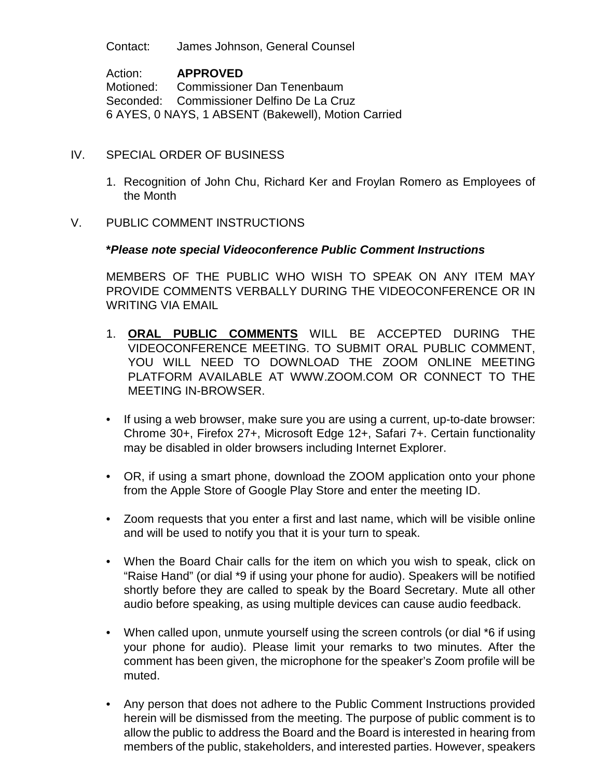Contact: James Johnson, General Counsel

Action: **APPROVED** Motioned: Commissioner Dan Tenenbaum Seconded: Commissioner Delfino De La Cruz 6 AYES, 0 NAYS, 1 ABSENT (Bakewell), Motion Carried

### IV. SPECIAL ORDER OF BUSINESS

- 1. Recognition of John Chu, Richard Ker and Froylan Romero as Employees of the Month
- V. PUBLIC COMMENT INSTRUCTIONS

### **\****Please note special Videoconference Public Comment Instructions*

MEMBERS OF THE PUBLIC WHO WISH TO SPEAK ON ANY ITEM MAY PROVIDE COMMENTS VERBALLY DURING THE VIDEOCONFERENCE OR IN WRITING VIA EMAIL

- 1. **ORAL PUBLIC COMMENTS** WILL BE ACCEPTED DURING THE VIDEOCONFERENCE MEETING. TO SUBMIT ORAL PUBLIC COMMENT, YOU WILL NEED TO DOWNLOAD THE ZOOM ONLINE MEETING PLATFORM AVAILABLE AT WWW.ZOOM.COM OR CONNECT TO THE MEETING IN-BROWSER.
- If using a web browser, make sure you are using a current, up-to-date browser: Chrome 30+, Firefox 27+, Microsoft Edge 12+, Safari 7+. Certain functionality may be disabled in older browsers including Internet Explorer.
- OR, if using a smart phone, download the ZOOM application onto your phone from the Apple Store of Google Play Store and enter the meeting ID.
- Zoom requests that you enter a first and last name, which will be visible online and will be used to notify you that it is your turn to speak.
- When the Board Chair calls for the item on which you wish to speak, click on "Raise Hand" (or dial \*9 if using your phone for audio). Speakers will be notified shortly before they are called to speak by the Board Secretary. Mute all other audio before speaking, as using multiple devices can cause audio feedback.
- When called upon, unmute yourself using the screen controls (or dial \*6 if using your phone for audio). Please limit your remarks to two minutes. After the comment has been given, the microphone for the speaker's Zoom profile will be muted.
- Any person that does not adhere to the Public Comment Instructions provided herein will be dismissed from the meeting. The purpose of public comment is to allow the public to address the Board and the Board is interested in hearing from members of the public, stakeholders, and interested parties. However, speakers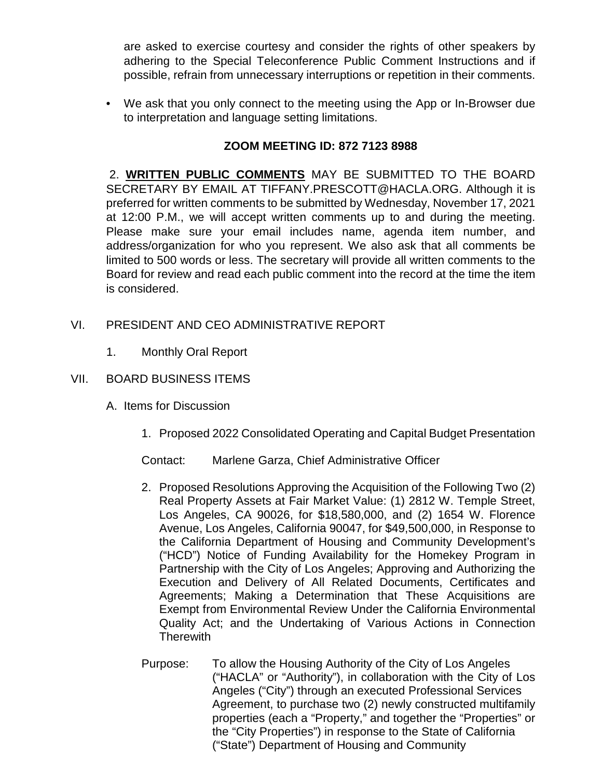are asked to exercise courtesy and consider the rights of other speakers by adhering to the Special Teleconference Public Comment Instructions and if possible, refrain from unnecessary interruptions or repetition in their comments.

• We ask that you only connect to the meeting using the App or In-Browser due to interpretation and language setting limitations.

# **ZOOM MEETING ID: 872 7123 8988**

2. **WRITTEN PUBLIC COMMENTS** MAY BE SUBMITTED TO THE BOARD SECRETARY BY EMAIL AT TIFFANY.PRESCOTT@HACLA.ORG. Although it is preferred for written comments to be submitted by Wednesday, November 17, 2021 at 12:00 P.M., we will accept written comments up to and during the meeting. Please make sure your email includes name, agenda item number, and address/organization for who you represent. We also ask that all comments be limited to 500 words or less. The secretary will provide all written comments to the Board for review and read each public comment into the record at the time the item is considered.

# VI. PRESIDENT AND CEO ADMINISTRATIVE REPORT

1. Monthly Oral Report

# VII. BOARD BUSINESS ITEMS

- A. Items for Discussion
	- 1. Proposed 2022 Consolidated Operating and Capital Budget Presentation
	- Contact: Marlene Garza, Chief Administrative Officer
	- 2. Proposed Resolutions Approving the Acquisition of the Following Two (2) Real Property Assets at Fair Market Value: (1) 2812 W. Temple Street, Los Angeles, CA 90026, for \$18,580,000, and (2) 1654 W. Florence Avenue, Los Angeles, California 90047, for \$49,500,000, in Response to the California Department of Housing and Community Development's ("HCD") Notice of Funding Availability for the Homekey Program in Partnership with the City of Los Angeles; Approving and Authorizing the Execution and Delivery of All Related Documents, Certificates and Agreements; Making a Determination that These Acquisitions are Exempt from Environmental Review Under the California Environmental Quality Act; and the Undertaking of Various Actions in Connection **Therewith**
	- Purpose: To allow the Housing Authority of the City of Los Angeles ("HACLA" or "Authority"), in collaboration with the City of Los Angeles ("City") through an executed Professional Services Agreement, to purchase two (2) newly constructed multifamily properties (each a "Property," and together the "Properties" or the "City Properties") in response to the State of California ("State") Department of Housing and Community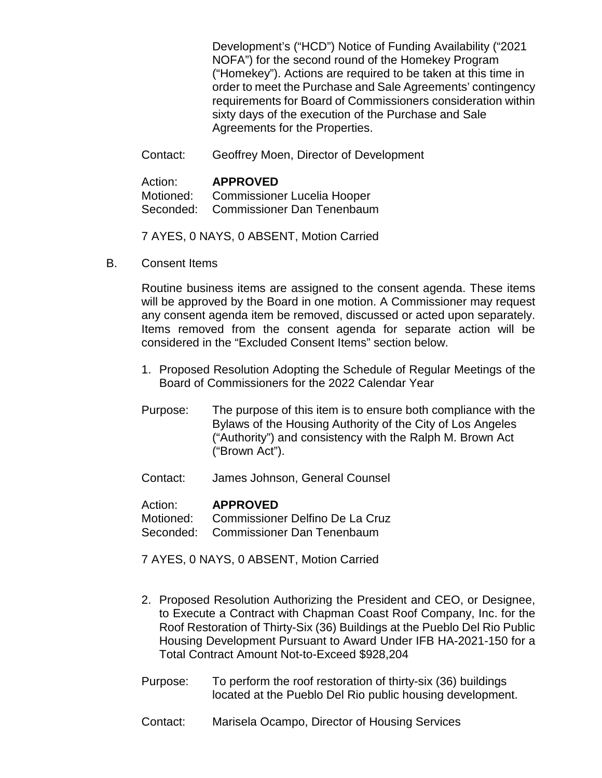Development's ("HCD") Notice of Funding Availability ("2021 NOFA") for the second round of the Homekey Program ("Homekey"). Actions are required to be taken at this time in order to meet the Purchase and Sale Agreements' contingency requirements for Board of Commissioners consideration within sixty days of the execution of the Purchase and Sale Agreements for the Properties.

Contact: Geoffrey Moen, Director of Development

#### Action: **APPROVED**

Motioned: Commissioner Lucelia Hooper Seconded: Commissioner Dan Tenenbaum

7 AYES, 0 NAYS, 0 ABSENT, Motion Carried

B. Consent Items

Routine business items are assigned to the consent agenda. These items will be approved by the Board in one motion. A Commissioner may request any consent agenda item be removed, discussed or acted upon separately. Items removed from the consent agenda for separate action will be considered in the "Excluded Consent Items" section below.

- 1. Proposed Resolution Adopting the Schedule of Regular Meetings of the Board of Commissioners for the 2022 Calendar Year
- Purpose: The purpose of this item is to ensure both compliance with the Bylaws of the Housing Authority of the City of Los Angeles ("Authority") and consistency with the Ralph M. Brown Act ("Brown Act").
- Contact: James Johnson, General Counsel

#### Action: **APPROVED**

Motioned: Commissioner Delfino De La Cruz Seconded: Commissioner Dan Tenenbaum

- 
- 7 AYES, 0 NAYS, 0 ABSENT, Motion Carried
- 2. Proposed Resolution Authorizing the President and CEO, or Designee, to Execute a Contract with Chapman Coast Roof Company, Inc. for the Roof Restoration of Thirty-Six (36) Buildings at the Pueblo Del Rio Public Housing Development Pursuant to Award Under IFB HA-2021-150 for a Total Contract Amount Not-to-Exceed \$928,204
- Purpose: To perform the roof restoration of thirty-six (36) buildings located at the Pueblo Del Rio public housing development.
- Contact: Marisela Ocampo, Director of Housing Services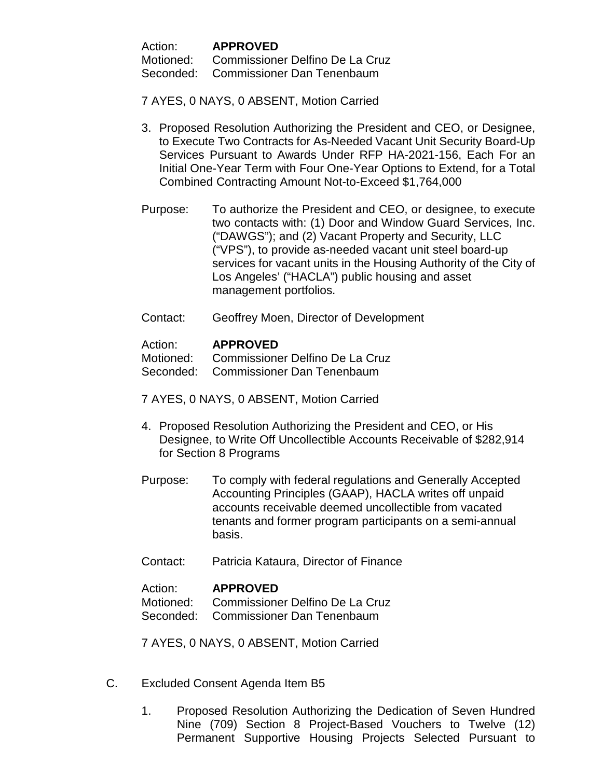Action: **APPROVED**

Motioned: Commissioner Delfino De La Cruz

Seconded: Commissioner Dan Tenenbaum

7 AYES, 0 NAYS, 0 ABSENT, Motion Carried

- 3. Proposed Resolution Authorizing the President and CEO, or Designee, to Execute Two Contracts for As-Needed Vacant Unit Security Board-Up Services Pursuant to Awards Under RFP HA-2021-156, Each For an Initial One-Year Term with Four One-Year Options to Extend, for a Total Combined Contracting Amount Not-to-Exceed \$1,764,000
- Purpose: To authorize the President and CEO, or designee, to execute two contacts with: (1) Door and Window Guard Services, Inc. ("DAWGS"); and (2) Vacant Property and Security, LLC ("VPS"), to provide as-needed vacant unit steel board-up services for vacant units in the Housing Authority of the City of Los Angeles' ("HACLA") public housing and asset management portfolios.
- Contact: Geoffrey Moen, Director of Development

### Action: **APPROVED**

Motioned: Commissioner Delfino De La Cruz

Seconded: Commissioner Dan Tenenbaum

7 AYES, 0 NAYS, 0 ABSENT, Motion Carried

- 4. Proposed Resolution Authorizing the President and CEO, or His Designee, to Write Off Uncollectible Accounts Receivable of \$282,914 for Section 8 Programs
- Purpose: To comply with federal regulations and Generally Accepted Accounting Principles (GAAP), HACLA writes off unpaid accounts receivable deemed uncollectible from vacated tenants and former program participants on a semi-annual basis.
- Contact: Patricia Kataura, Director of Finance

# Action: **APPROVED**

Motioned: Commissioner Delfino De La Cruz Seconded: Commissioner Dan Tenenbaum

7 AYES, 0 NAYS, 0 ABSENT, Motion Carried

- C. Excluded Consent Agenda Item B5
	- 1. Proposed Resolution Authorizing the Dedication of Seven Hundred Nine (709) Section 8 Project-Based Vouchers to Twelve (12) Permanent Supportive Housing Projects Selected Pursuant to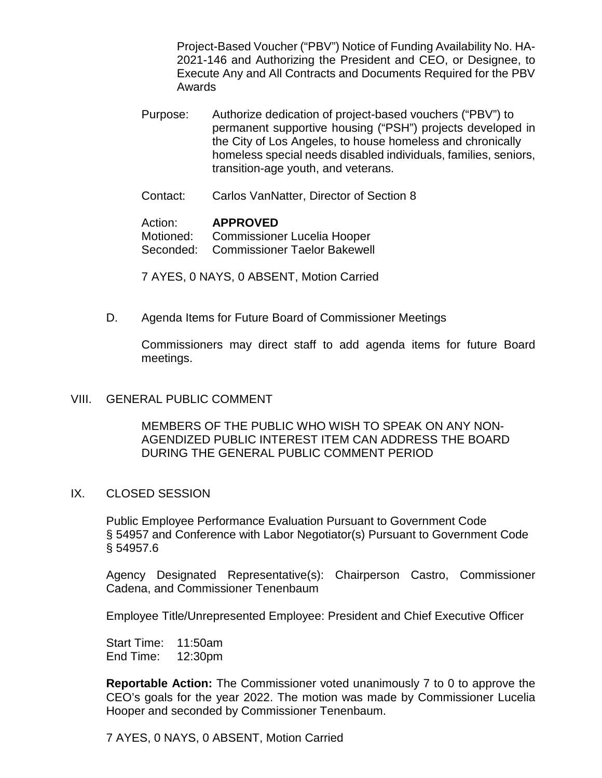Project-Based Voucher ("PBV") Notice of Funding Availability No. HA-2021-146 and Authorizing the President and CEO, or Designee, to Execute Any and All Contracts and Documents Required for the PBV Awards

- Purpose: Authorize dedication of project-based vouchers ("PBV") to permanent supportive housing ("PSH") projects developed in the City of Los Angeles, to house homeless and chronically homeless special needs disabled individuals, families, seniors, transition-age youth, and veterans.
- Contact: Carlos VanNatter, Director of Section 8

# Action: **APPROVED**

Motioned: Commissioner Lucelia Hooper Seconded: Commissioner Taelor Bakewell

7 AYES, 0 NAYS, 0 ABSENT, Motion Carried

D. Agenda Items for Future Board of Commissioner Meetings

Commissioners may direct staff to add agenda items for future Board meetings.

# VIII. GENERAL PUBLIC COMMENT

MEMBERS OF THE PUBLIC WHO WISH TO SPEAK ON ANY NON-AGENDIZED PUBLIC INTEREST ITEM CAN ADDRESS THE BOARD DURING THE GENERAL PUBLIC COMMENT PERIOD

#### IX. CLOSED SESSION

Public Employee Performance Evaluation Pursuant to Government Code § 54957 and Conference with Labor Negotiator(s) Pursuant to Government Code § 54957.6

Agency Designated Representative(s): Chairperson Castro, Commissioner Cadena, and Commissioner Tenenbaum

Employee Title/Unrepresented Employee: President and Chief Executive Officer

Start Time: 11:50am End Time: 12:30pm

**Reportable Action:** The Commissioner voted unanimously 7 to 0 to approve the CEO's goals for the year 2022. The motion was made by Commissioner Lucelia Hooper and seconded by Commissioner Tenenbaum.

7 AYES, 0 NAYS, 0 ABSENT, Motion Carried